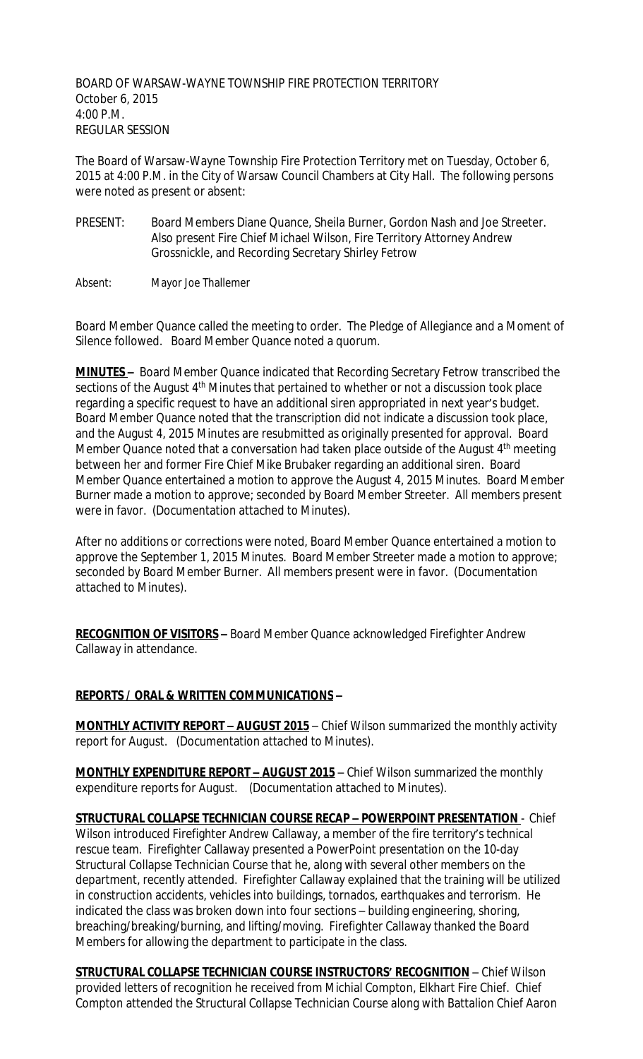BOARD OF WARSAW-WAYNE TOWNSHIP FIRE PROTECTION TERRITORY October 6, 2015 4:00 P.M. REGULAR SESSION

The Board of Warsaw-Wayne Township Fire Protection Territory met on Tuesday, October 6, 2015 at 4:00 P.M. in the City of Warsaw Council Chambers at City Hall. The following persons were noted as present or absent:

PRESENT: Board Members Diane Quance, Sheila Burner, Gordon Nash and Joe Streeter. Also present Fire Chief Michael Wilson, Fire Territory Attorney Andrew Grossnickle, and Recording Secretary Shirley Fetrow

Absent: Mayor Joe Thallemer

Board Member Quance called the meeting to order. The Pledge of Allegiance and a Moment of Silence followed. Board Member Quance noted a quorum.

**MINUTES –** Board Member Quance indicated that Recording Secretary Fetrow transcribed the sections of the August 4<sup>th</sup> Minutes that pertained to whether or not a discussion took place regarding a specific request to have an additional siren appropriated in next year's budget. Board Member Quance noted that the transcription did not indicate a discussion took place, and the August 4, 2015 Minutes are resubmitted as originally presented for approval. Board Member Quance noted that a conversation had taken place outside of the August 4<sup>th</sup> meeting between her and former Fire Chief Mike Brubaker regarding an additional siren. Board Member Quance entertained a motion to approve the August 4, 2015 Minutes. Board Member Burner made a motion to approve; seconded by Board Member Streeter. All members present were in favor. (Documentation attached to Minutes).

After no additions or corrections were noted, Board Member Quance entertained a motion to approve the September 1, 2015 Minutes. Board Member Streeter made a motion to approve; seconded by Board Member Burner. All members present were in favor. (Documentation attached to Minutes).

**RECOGNITION OF VISITORS –** Board Member Quance acknowledged Firefighter Andrew Callaway in attendance.

## **REPORTS / ORAL & WRITTEN COMMUNICATIONS –**

**MONTHLY ACTIVITY REPORT - AUGUST 2015** - Chief Wilson summarized the monthly activity report for August. (Documentation attached to Minutes).

**MONTHLY EXPENDITURE REPORT – AUGUST 2015** – Chief Wilson summarized the monthly expenditure reports for August. (Documentation attached to Minutes).

**STRUCTURAL COLLAPSE TECHNICIAN COURSE RECAP – POWERPOINT PRESENTATION** - Chief Wilson introduced Firefighter Andrew Callaway, a member of the fire territory's technical rescue team. Firefighter Callaway presented a PowerPoint presentation on the 10-day Structural Collapse Technician Course that he, along with several other members on the department, recently attended. Firefighter Callaway explained that the training will be utilized in construction accidents, vehicles into buildings, tornados, earthquakes and terrorism. He indicated the class was broken down into four sections – building engineering, shoring, breaching/breaking/burning, and lifting/moving. Firefighter Callaway thanked the Board Members for allowing the department to participate in the class.

**STRUCTURAL COLLAPSE TECHNICIAN COURSE INSTRUCTORS' RECOGNITION** – Chief Wilson provided letters of recognition he received from Michial Compton, Elkhart Fire Chief. Chief Compton attended the Structural Collapse Technician Course along with Battalion Chief Aaron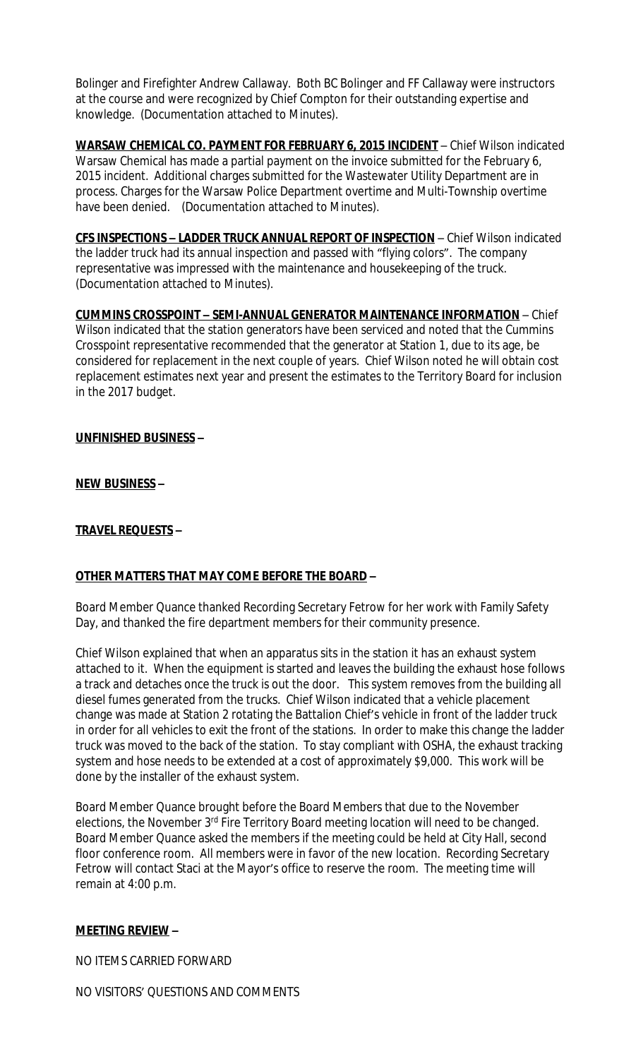Bolinger and Firefighter Andrew Callaway. Both BC Bolinger and FF Callaway were instructors at the course and were recognized by Chief Compton for their outstanding expertise and knowledge. (Documentation attached to Minutes).

**WARSAW CHEMICAL CO. PAYMENT FOR FEBRUARY 6, 2015 INCIDENT** – Chief Wilson indicated Warsaw Chemical has made a partial payment on the invoice submitted for the February 6, 2015 incident. Additional charges submitted for the Wastewater Utility Department are in process. Charges for the Warsaw Police Department overtime and Multi-Township overtime have been denied. (Documentation attached to Minutes).

**CFS INSPECTIONS – LADDER TRUCK ANNUAL REPORT OF INSPECTION** – Chief Wilson indicated the ladder truck had its annual inspection and passed with "flying colors". The company representative was impressed with the maintenance and housekeeping of the truck. (Documentation attached to Minutes).

**CUMMINS CROSSPOINT – SEMI-ANNUAL GENERATOR MAINTENANCE INFORMATION** – Chief Wilson indicated that the station generators have been serviced and noted that the Cummins Crosspoint representative recommended that the generator at Station 1, due to its age, be considered for replacement in the next couple of years. Chief Wilson noted he will obtain cost replacement estimates next year and present the estimates to the Territory Board for inclusion in the 2017 budget.

## **UNFINISHED BUSINESS –**

**NEW BUSINESS –**

### **TRAVEL REQUESTS –**

#### **OTHER MATTERS THAT MAY COME BEFORE THE BOARD –**

Board Member Quance thanked Recording Secretary Fetrow for her work with Family Safety Day, and thanked the fire department members for their community presence.

Chief Wilson explained that when an apparatus sits in the station it has an exhaust system attached to it. When the equipment is started and leaves the building the exhaust hose follows a track and detaches once the truck is out the door. This system removes from the building all diesel fumes generated from the trucks. Chief Wilson indicated that a vehicle placement change was made at Station 2 rotating the Battalion Chief's vehicle in front of the ladder truck in order for all vehicles to exit the front of the stations. In order to make this change the ladder truck was moved to the back of the station. To stay compliant with OSHA, the exhaust tracking system and hose needs to be extended at a cost of approximately \$9,000. This work will be done by the installer of the exhaust system.

Board Member Quance brought before the Board Members that due to the November elections, the November 3<sup>rd</sup> Fire Territory Board meeting location will need to be changed. Board Member Quance asked the members if the meeting could be held at City Hall, second floor conference room. All members were in favor of the new location. Recording Secretary Fetrow will contact Staci at the Mayor's office to reserve the room. The meeting time will remain at 4:00 p.m.

#### **MEETING REVIEW –**

NO ITEMS CARRIED FORWARD

NO VISITORS' QUESTIONS AND COMMENTS